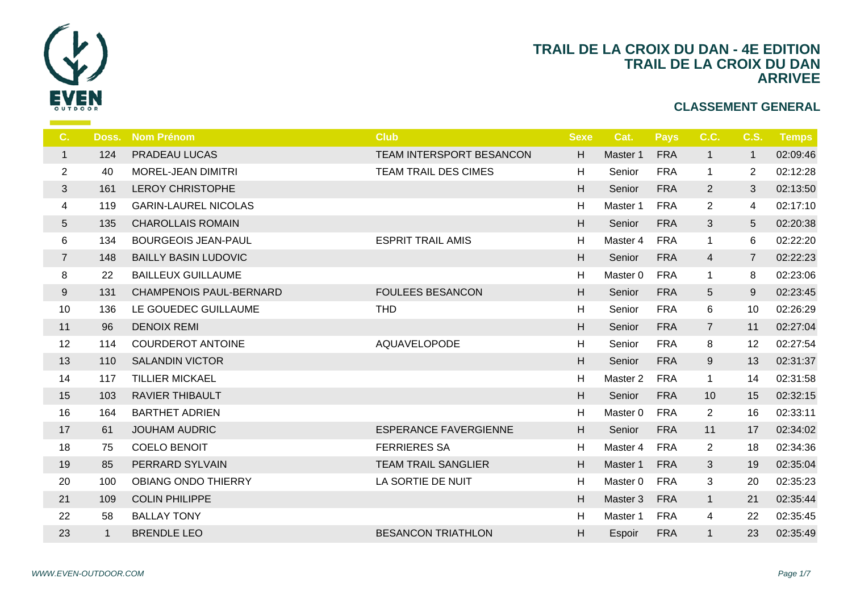

| C.             | Doss.        | <b>Nom Prénom</b>              | <b>Club</b>                  | <b>Sexe</b> | $\mathbf C$    |
|----------------|--------------|--------------------------------|------------------------------|-------------|----------------|
| $\mathbf{1}$   | 124          | PRADEAU LUCAS                  | TEAM INTERSPORT BESANCON     | H           | Ma             |
| $\overline{2}$ | 40           | MOREL-JEAN DIMITRI             | <b>TEAM TRAIL DES CIMES</b>  | H           | $S_{\epsilon}$ |
| 3              | 161          | <b>LEROY CHRISTOPHE</b>        |                              | H           | S <sub>6</sub> |
| 4              | 119          | <b>GARIN-LAUREL NICOLAS</b>    |                              | H           | Ma             |
| 5              | 135          | <b>CHAROLLAIS ROMAIN</b>       |                              | H           | S <sub>6</sub> |
| 6              | 134          | <b>BOURGEOIS JEAN-PAUL</b>     | <b>ESPRIT TRAIL AMIS</b>     | H           | Ma             |
| $\overline{7}$ | 148          | <b>BAILLY BASIN LUDOVIC</b>    |                              | H           | S <sub>6</sub> |
| 8              | 22           | <b>BAILLEUX GUILLAUME</b>      |                              | H           | Ma             |
| 9              | 131          | <b>CHAMPENOIS PAUL-BERNARD</b> | <b>FOULEES BESANCON</b>      | H.          | S <sub>6</sub> |
| 10             | 136          | LE GOUEDEC GUILLAUME           | <b>THD</b>                   | H           | $S_6$          |
| 11             | 96           | <b>DENOIX REMI</b>             |                              | H           | S <sub>6</sub> |
| 12             | 114          | <b>COURDEROT ANTOINE</b>       | <b>AQUAVELOPODE</b>          | H           | $S_6$          |
| 13             | 110          | <b>SALANDIN VICTOR</b>         |                              | H           | S <sub>6</sub> |
| 14             | 117          | <b>TILLIER MICKAEL</b>         |                              | H           | Ma             |
| 15             | 103          | <b>RAVIER THIBAULT</b>         |                              | H           | S <sub>6</sub> |
| 16             | 164          | <b>BARTHET ADRIEN</b>          |                              | H           | Ma             |
| 17             | 61           | <b>JOUHAM AUDRIC</b>           | <b>ESPERANCE FAVERGIENNE</b> | H           | S <sub>6</sub> |
| 18             | 75           | <b>COELO BENOIT</b>            | <b>FERRIERES SA</b>          | H           | Ma             |
| 19             | 85           | PERRARD SYLVAIN                | <b>TEAM TRAIL SANGLIER</b>   | H           | Ma             |
| 20             | 100          | <b>OBIANG ONDO THIERRY</b>     | LA SORTIE DE NUIT            | H           | Ma             |
| 21             | 109          | <b>COLIN PHILIPPE</b>          |                              | H           | Ma             |
| 22             | 58           | <b>BALLAY TONY</b>             |                              | $\mathsf H$ | Ma             |
| 23             | $\mathbf{1}$ | <b>BRENDLE LEO</b>             | <b>BESANCON TRIATHLON</b>    | H           | Es             |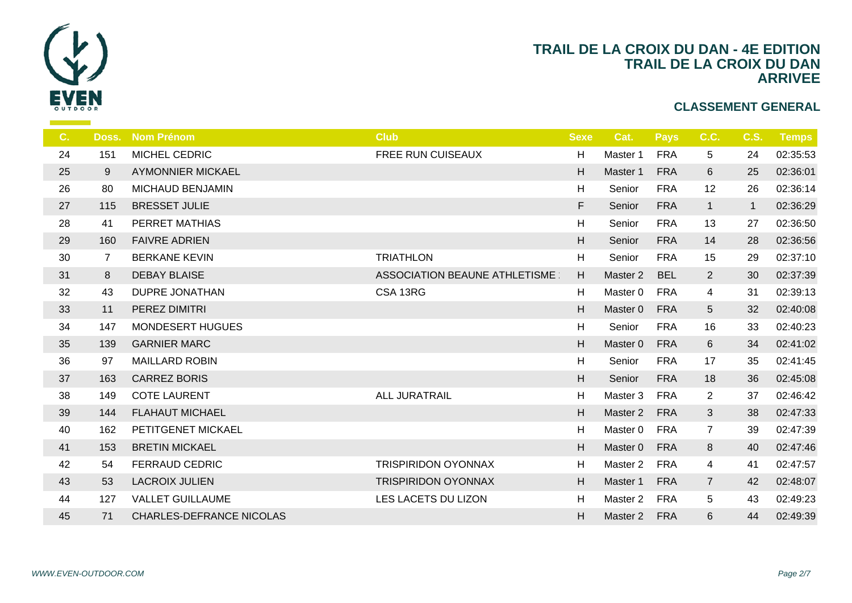

| Doss.          | <b>Nom Prénom</b>        | <b>Club</b>                   | <b>Sexe</b>               | $\epsilon$     |
|----------------|--------------------------|-------------------------------|---------------------------|----------------|
| 151            | MICHEL CEDRIC            | FREE RUN CUISEAUX             | H                         | Ma             |
| 9              | <b>AYMONNIER MICKAEL</b> |                               | H                         | Ma             |
| 80             | <b>MICHAUD BENJAMIN</b>  |                               | H                         | S <sub>6</sub> |
| 115            | <b>BRESSET JULIE</b>     |                               | F                         | S <sub>6</sub> |
| 41             | PERRET MATHIAS           |                               | H                         | $S_6$          |
| 160            | <b>FAIVRE ADRIEN</b>     |                               | H                         | S <sub>6</sub> |
| $\overline{7}$ | <b>BERKANE KEVIN</b>     | <b>TRIATHLON</b>              | H                         | $S_{\epsilon}$ |
| 8              | <b>DEBAY BLAISE</b>      | ASSOCIATION BEAUNE ATHLETISME | H                         | Ma             |
| 43             | <b>DUPRE JONATHAN</b>    | CSA 13RG                      | H                         | Ma             |
| 11             | PEREZ DIMITRI            |                               | H                         | Ma             |
| 147            | <b>MONDESERT HUGUES</b>  |                               | H                         | S <sub>6</sub> |
| 139            | <b>GARNIER MARC</b>      |                               | H                         | Ma             |
| 97             | <b>MAILLARD ROBIN</b>    |                               | H                         | $S_6$          |
| 163            | <b>CARREZ BORIS</b>      |                               | H                         | S <sub>6</sub> |
| 149            | <b>COTE LAURENT</b>      | <b>ALL JURATRAIL</b>          | $\boldsymbol{\mathsf{H}}$ | Ma             |
| 144            | <b>FLAHAUT MICHAEL</b>   |                               | H                         | Ma             |
| 162            | PETITGENET MICKAEL       |                               | H                         | Ma             |
| 153            | <b>BRETIN MICKAEL</b>    |                               | H                         | Ma             |
| 54             | <b>FERRAUD CEDRIC</b>    | <b>TRISPIRIDON OYONNAX</b>    | H                         | Ma             |
| 53             | <b>LACROIX JULIEN</b>    | <b>TRISPIRIDON OYONNAX</b>    | H                         | Ma             |
| 127            | <b>VALLET GUILLAUME</b>  | LES LACETS DU LIZON           | H                         | Ma             |
| 71             | CHARLES-DEFRANCE NICOLAS |                               | H                         | Ma             |
|                |                          |                               |                           |                |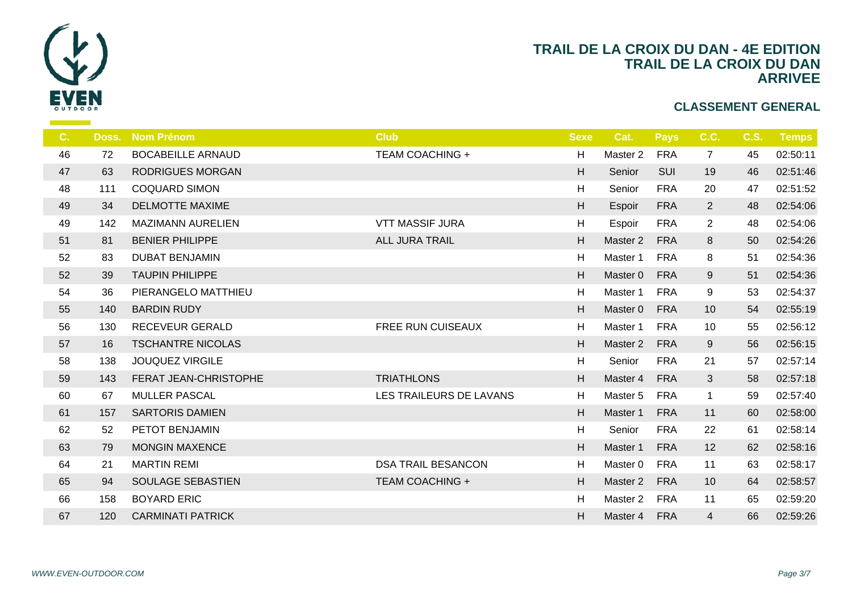

| C. | Doss. | <b>Nom Prénom</b>        | <b>Club</b>               | <b>Sexe</b> |                |
|----|-------|--------------------------|---------------------------|-------------|----------------|
| 46 | 72    | <b>BOCABEILLE ARNAUD</b> | <b>TEAM COACHING +</b>    | H           | Ma:            |
| 47 | 63    | <b>RODRIGUES MORGAN</b>  |                           | H           | S <sub>6</sub> |
| 48 | 111   | <b>COQUARD SIMON</b>     |                           | H           | S <sub>6</sub> |
| 49 | 34    | <b>DELMOTTE MAXIME</b>   |                           | H           | Es             |
| 49 | 142   | <b>MAZIMANN AURELIEN</b> | <b>VTT MASSIF JURA</b>    | H           | Es             |
| 51 | 81    | <b>BENIER PHILIPPE</b>   | <b>ALL JURA TRAIL</b>     | H           | Ma             |
| 52 | 83    | <b>DUBAT BENJAMIN</b>    |                           | H           | Ma             |
| 52 | 39    | <b>TAUPIN PHILIPPE</b>   |                           | H           | Ma             |
| 54 | 36    | PIERANGELO MATTHIEU      |                           | H           | Ma             |
| 55 | 140   | <b>BARDIN RUDY</b>       |                           | H           | Ma             |
| 56 | 130   | RECEVEUR GERALD          | FREE RUN CUISEAUX         | H           | Ma             |
| 57 | 16    | <b>TSCHANTRE NICOLAS</b> |                           | H           | Mas            |
| 58 | 138   | <b>JOUQUEZ VIRGILE</b>   |                           | H           | S <sub>6</sub> |
| 59 | 143   | FERAT JEAN-CHRISTOPHE    | <b>TRIATHLONS</b>         | H           | Ma             |
| 60 | 67    | <b>MULLER PASCAL</b>     | LES TRAILEURS DE LAVANS   | H           | Ma             |
| 61 | 157   | <b>SARTORIS DAMIEN</b>   |                           | H           | Ma             |
| 62 | 52    | PETOT BENJAMIN           |                           | H           | S6             |
| 63 | 79    | <b>MONGIN MAXENCE</b>    |                           | H           | Ma             |
| 64 | 21    | <b>MARTIN REMI</b>       | <b>DSA TRAIL BESANCON</b> | H           | Ma:            |
| 65 | 94    | SOULAGE SEBASTIEN        | <b>TEAM COACHING +</b>    | H           | Mas            |
| 66 | 158   | <b>BOYARD ERIC</b>       |                           | H           | Ma             |
| 67 | 120   | <b>CARMINATI PATRICK</b> |                           | H           | Ma             |
|    |       |                          |                           |             |                |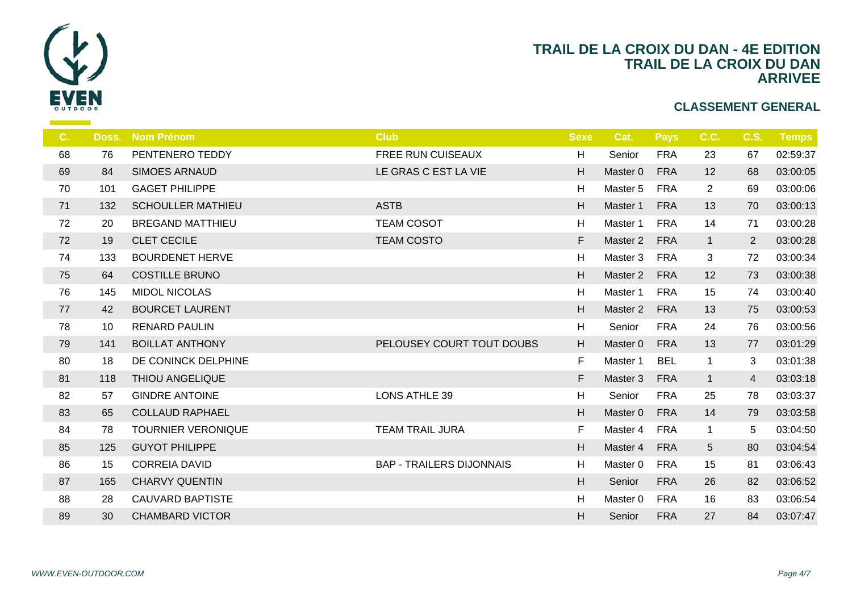

| Doss. | <b>Nom Prénom</b>         | <b>Club</b>                     | <b>Sexe</b> |                |
|-------|---------------------------|---------------------------------|-------------|----------------|
| 76    | PENTENERO TEDDY           | FREE RUN CUISEAUX               | H           | S <sub>6</sub> |
| 84    | <b>SIMOES ARNAUD</b>      | LE GRAS C EST LA VIE            | H           | Ma             |
| 101   | <b>GAGET PHILIPPE</b>     |                                 | H           | Ma             |
| 132   | <b>SCHOULLER MATHIEU</b>  | <b>ASTB</b>                     | H           | Ma             |
| 20    | <b>BREGAND MATTHIEU</b>   | <b>TEAM COSOT</b>               | H           | Ma             |
| 19    | <b>CLET CECILE</b>        | <b>TEAM COSTO</b>               | F           | Ma             |
| 133   | <b>BOURDENET HERVE</b>    |                                 | H           | Ma             |
| 64    | <b>COSTILLE BRUNO</b>     |                                 | H           | Ma             |
| 145   | <b>MIDOL NICOLAS</b>      |                                 | H           | Ma             |
| 42    | <b>BOURCET LAURENT</b>    |                                 | H           | Ma:            |
| 10    | <b>RENARD PAULIN</b>      |                                 | H           | S <sub>6</sub> |
| 141   | <b>BOILLAT ANTHONY</b>    | PELOUSEY COURT TOUT DOUBS       | H           | Ma             |
| 18    | DE CONINCK DELPHINE       |                                 | $\mathsf F$ | Ma             |
| 118   | <b>THIOU ANGELIQUE</b>    |                                 | F           | Mas            |
| 57    | <b>GINDRE ANTOINE</b>     | <b>LONS ATHLE 39</b>            | H           | S <sub>d</sub> |
| 65    | <b>COLLAUD RAPHAEL</b>    |                                 | H           | Ma             |
| 78    | <b>TOURNIER VERONIQUE</b> | <b>TEAM TRAIL JURA</b>          | F.          | Ma             |
| 125   | <b>GUYOT PHILIPPE</b>     |                                 | H           | Ma:            |
| 15    | <b>CORREIA DAVID</b>      | <b>BAP - TRAILERS DIJONNAIS</b> | H           | Ma             |
| 165   | <b>CHARVY QUENTIN</b>     |                                 | H           | S <sub>6</sub> |
| 28    | <b>CAUVARD BAPTISTE</b>   |                                 | H           | Ma             |
| 30    | <b>CHAMBARD VICTOR</b>    |                                 | H           | S <sub>6</sub> |
|       |                           |                                 |             |                |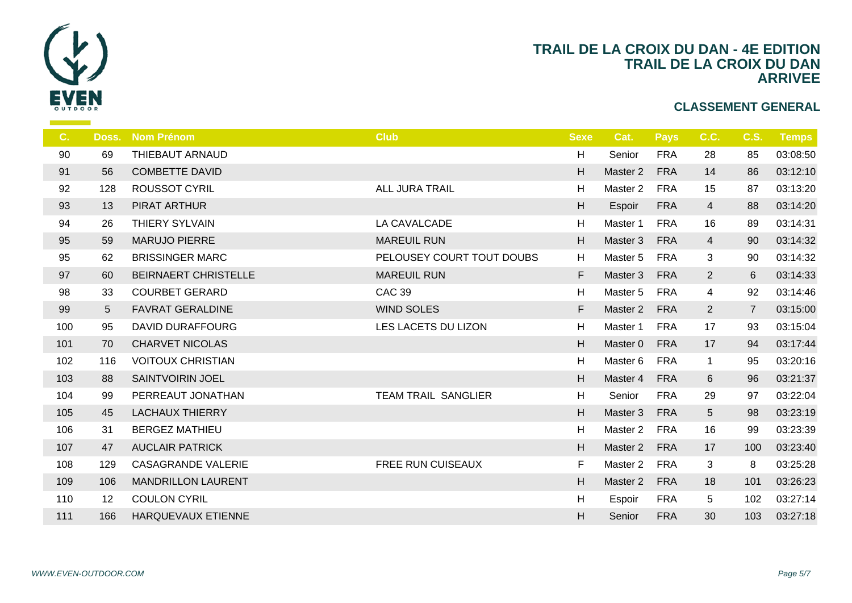

| $C_{1}$ | Doss. | <b>Nom Prénom</b>           | <b>Club</b>                | <b>Sexe</b> |                |
|---------|-------|-----------------------------|----------------------------|-------------|----------------|
| 90      | 69    | THIEBAUT ARNAUD             |                            | H           | S <sub>6</sub> |
| 91      | 56    | <b>COMBETTE DAVID</b>       |                            | H           | Ma             |
| 92      | 128   | <b>ROUSSOT CYRIL</b>        | ALL JURA TRAIL             | H           | Ma             |
| 93      | 13    | PIRAT ARTHUR                |                            | H           | Es             |
| 94      | 26    | THIERY SYLVAIN              | LA CAVALCADE               | H           | Ma             |
| 95      | 59    | <b>MARUJO PIERRE</b>        | <b>MAREUIL RUN</b>         | H           | Ma             |
| 95      | 62    | <b>BRISSINGER MARC</b>      | PELOUSEY COURT TOUT DOUBS  | H           | Ma             |
| 97      | 60    | <b>BEIRNAERT CHRISTELLE</b> | <b>MAREUIL RUN</b>         | F.          | Ma             |
| 98      | 33    | <b>COURBET GERARD</b>       | <b>CAC 39</b>              | H           | Ma             |
| 99      | 5     | <b>FAVRAT GERALDINE</b>     | <b>WIND SOLES</b>          | F.          | Ma             |
| 100     | 95    | DAVID DURAFFOURG            | LES LACETS DU LIZON        | H           | Ma             |
| 101     | 70    | <b>CHARVET NICOLAS</b>      |                            | H           | Ma             |
| 102     | 116   | <b>VOITOUX CHRISTIAN</b>    |                            | H           | Ma             |
| 103     | 88    | <b>SAINTVOIRIN JOEL</b>     |                            | H           | Ma             |
| 104     | 99    | PERREAUT JONATHAN           | <b>TEAM TRAIL SANGLIER</b> | H           | S <sub>f</sub> |
| 105     | 45    | <b>LACHAUX THIERRY</b>      |                            | H           | Ma             |
| 106     | 31    | <b>BERGEZ MATHIEU</b>       |                            | H           | Ma             |
| 107     | 47    | <b>AUCLAIR PATRICK</b>      |                            | H           | Ma             |
| 108     | 129   | <b>CASAGRANDE VALERIE</b>   | FREE RUN CUISEAUX          | F.          | Ma             |
| 109     | 106   | <b>MANDRILLON LAURENT</b>   |                            | H.          | Ma             |
| 110     | 12    | <b>COULON CYRIL</b>         |                            | H           | Es             |
| 111     | 166   | HARQUEVAUX ETIENNE          |                            | H           | S <sub>d</sub> |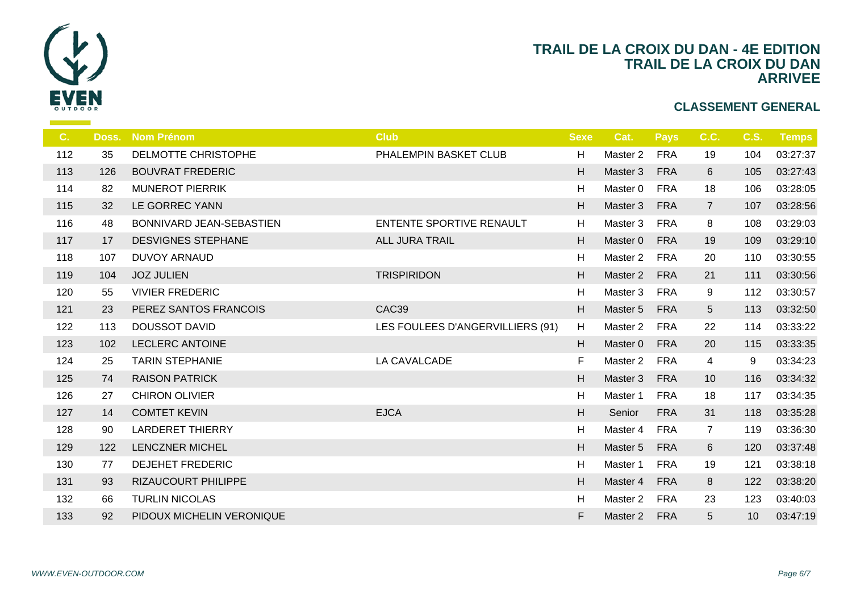

| C <sub>1</sub> | Doss. | <b>Nom Prénom</b>         | <b>Club</b>                      | <b>Sexe</b> |                |
|----------------|-------|---------------------------|----------------------------------|-------------|----------------|
| 112            | 35    | DELMOTTE CHRISTOPHE       | PHALEMPIN BASKET CLUB            | H           | Ma:            |
| 113            | 126   | <b>BOUVRAT FREDERIC</b>   |                                  | H           | Ma             |
| 114            | 82    | <b>MUNEROT PIERRIK</b>    |                                  | H           | Ma             |
| 115            | 32    | LE GORREC YANN            |                                  | H           | Ma             |
| 116            | 48    | BONNIVARD JEAN-SEBASTIEN  | <b>ENTENTE SPORTIVE RENAULT</b>  | H           | Ma             |
| 117            | 17    | <b>DESVIGNES STEPHANE</b> | <b>ALL JURA TRAIL</b>            | H           | Ma             |
| 118            | 107   | <b>DUVOY ARNAUD</b>       |                                  | H           | Ma             |
| 119            | 104   | <b>JOZ JULIEN</b>         | <b>TRISPIRIDON</b>               | H           | Ma             |
| 120            | 55    | <b>VIVIER FREDERIC</b>    |                                  | H           | Ma             |
| 121            | 23    | PEREZ SANTOS FRANCOIS     | CAC39                            | H           | Ma             |
| 122            | 113   | <b>DOUSSOT DAVID</b>      | LES FOULEES D'ANGERVILLIERS (91) | H           | Ma             |
| 123            | 102   | <b>LECLERC ANTOINE</b>    |                                  | H           | Ma             |
| 124            | 25    | <b>TARIN STEPHANIE</b>    | LA CAVALCADE                     | F           | Ma             |
| 125            | 74    | <b>RAISON PATRICK</b>     |                                  | H           | Ma             |
| 126            | 27    | <b>CHIRON OLIVIER</b>     |                                  | H           | Ma             |
| 127            | 14    | <b>COMTET KEVIN</b>       | <b>EJCA</b>                      | H           | S <sub>d</sub> |
| 128            | 90    | <b>LARDERET THIERRY</b>   |                                  | H           | Ma             |
| 129            | 122   | <b>LENCZNER MICHEL</b>    |                                  | H           | Ma             |
| 130            | 77    | <b>DEJEHET FREDERIC</b>   |                                  | H           | Ma             |
| 131            | 93    | RIZAUCOURT PHILIPPE       |                                  | H           | Ma             |
| 132            | 66    | <b>TURLIN NICOLAS</b>     |                                  | H           | Ma             |
| 133            | 92    | PIDOUX MICHELIN VERONIQUE |                                  | F           | Ma             |
|                |       |                           |                                  |             |                |